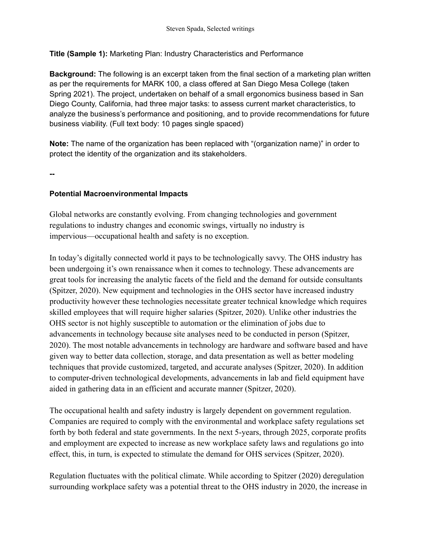**Title (Sample 1):** Marketing Plan: Industry Characteristics and Performance

**Background:** The following is an excerpt taken from the final section of a marketing plan written as per the requirements for MARK 100, a class offered at San Diego Mesa College (taken Spring 2021). The project, undertaken on behalf of a small ergonomics business based in San Diego County, California, had three major tasks: to assess current market characteristics, to analyze the business's performance and positioning, and to provide recommendations for future business viability. (Full text body: 10 pages single spaced)

**Note:** The name of the organization has been replaced with "(organization name)" in order to protect the identity of the organization and its stakeholders.

**--**

## **Potential Macroenvironmental Impacts**

Global networks are constantly evolving. From changing technologies and government regulations to industry changes and economic swings, virtually no industry is impervious—occupational health and safety is no exception.

In today's digitally connected world it pays to be technologically savvy. The OHS industry has been undergoing it's own renaissance when it comes to technology. These advancements are great tools for increasing the analytic facets of the field and the demand for outside consultants (Spitzer, 2020). New equipment and technologies in the OHS sector have increased industry productivity however these technologies necessitate greater technical knowledge which requires skilled employees that will require higher salaries (Spitzer, 2020). Unlike other industries the OHS sector is not highly susceptible to automation or the elimination of jobs due to advancements in technology because site analyses need to be conducted in person (Spitzer, 2020). The most notable advancements in technology are hardware and software based and have given way to better data collection, storage, and data presentation as well as better modeling techniques that provide customized, targeted, and accurate analyses (Spitzer, 2020). In addition to computer-driven technological developments, advancements in lab and field equipment have aided in gathering data in an efficient and accurate manner (Spitzer, 2020).

The occupational health and safety industry is largely dependent on government regulation. Companies are required to comply with the environmental and workplace safety regulations set forth by both federal and state governments. In the next 5-years, through 2025, corporate profits and employment are expected to increase as new workplace safety laws and regulations go into effect, this, in turn, is expected to stimulate the demand for OHS services (Spitzer, 2020).

Regulation fluctuates with the political climate. While according to Spitzer (2020) deregulation surrounding workplace safety was a potential threat to the OHS industry in 2020, the increase in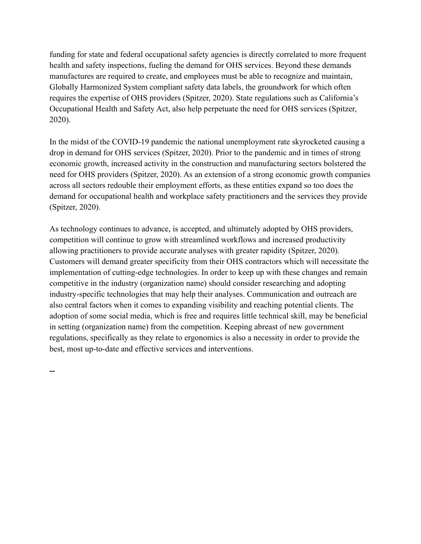funding for state and federal occupational safety agencies is directly correlated to more frequent health and safety inspections, fueling the demand for OHS services. Beyond these demands manufactures are required to create, and employees must be able to recognize and maintain, Globally Harmonized System compliant safety data labels, the groundwork for which often requires the expertise of OHS providers (Spitzer, 2020). State regulations such as California's Occupational Health and Safety Act, also help perpetuate the need for OHS services (Spitzer, 2020).

In the midst of the COVID-19 pandemic the national unemployment rate skyrocketed causing a drop in demand for OHS services (Spitzer, 2020). Prior to the pandemic and in times of strong economic growth, increased activity in the construction and manufacturing sectors bolstered the need for OHS providers (Spitzer, 2020). As an extension of a strong economic growth companies across all sectors redouble their employment efforts, as these entities expand so too does the demand for occupational health and workplace safety practitioners and the services they provide (Spitzer, 2020).

As technology continues to advance, is accepted, and ultimately adopted by OHS providers, competition will continue to grow with streamlined workflows and increased productivity allowing practitioners to provide accurate analyses with greater rapidity (Spitzer, 2020). Customers will demand greater specificity from their OHS contractors which will necessitate the implementation of cutting-edge technologies. In order to keep up with these changes and remain competitive in the industry (organization name) should consider researching and adopting industry-specific technologies that may help their analyses. Communication and outreach are also central factors when it comes to expanding visibility and reaching potential clients. The adoption of some social media, which is free and requires little technical skill, may be beneficial in setting (organization name) from the competition. Keeping abreast of new government regulations, specifically as they relate to ergonomics is also a necessity in order to provide the best, most up-to-date and effective services and interventions.

**--**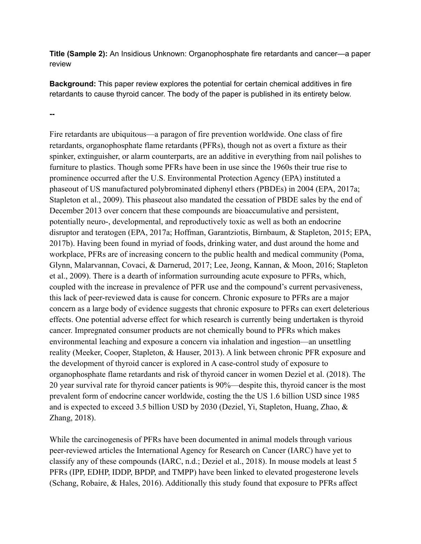**Title (Sample 2):** An Insidious Unknown: Organophosphate fire retardants and cancer—a paper review

**Background:** This paper review explores the potential for certain chemical additives in fire retardants to cause thyroid cancer. The body of the paper is published in its entirety below.

**--**

Fire retardants are ubiquitous—a paragon of fire prevention worldwide. One class of fire retardants, organophosphate flame retardants (PFRs), though not as overt a fixture as their spinker, extinguisher, or alarm counterparts, are an additive in everything from nail polishes to furniture to plastics. Though some PFRs have been in use since the 1960s their true rise to prominence occurred after the U.S. Environmental Protection Agency (EPA) instituted a phaseout of US manufactured polybrominated diphenyl ethers (PBDEs) in 2004 (EPA, 2017a; Stapleton et al., 2009). This phaseout also mandated the cessation of PBDE sales by the end of December 2013 over concern that these compounds are bioaccumulative and persistent, potentially neuro-, developmental, and reproductively toxic as well as both an endocrine disruptor and teratogen (EPA, 2017a; Hoffman, Garantziotis, Birnbaum, & Stapleton, 2015; EPA, 2017b). Having been found in myriad of foods, drinking water, and dust around the home and workplace, PFRs are of increasing concern to the public health and medical community (Poma, Glynn, Malarvannan, Covaci, & Darnerud, 2017; Lee, Jeong, Kannan, & Moon, 2016; Stapleton et al., 2009). There is a dearth of information surrounding acute exposure to PFRs, which, coupled with the increase in prevalence of PFR use and the compound's current pervasiveness, this lack of peer-reviewed data is cause for concern. Chronic exposure to PFRs are a major concern as a large body of evidence suggests that chronic exposure to PFRs can exert deleterious effects. One potential adverse effect for which research is currently being undertaken is thyroid cancer. Impregnated consumer products are not chemically bound to PFRs which makes environmental leaching and exposure a concern via inhalation and ingestion—an unsettling reality (Meeker, Cooper, Stapleton, & Hauser, 2013). A link between chronic PFR exposure and the development of thyroid cancer is explored in A case-control study of exposure to organophosphate flame retardants and risk of thyroid cancer in women Deziel et al. (2018). The 20 year survival rate for thyroid cancer patients is 90%—despite this, thyroid cancer is the most prevalent form of endocrine cancer worldwide, costing the the US 1.6 billion USD since 1985 and is expected to exceed 3.5 billion USD by 2030 (Deziel, Yi, Stapleton, Huang, Zhao, & Zhang, 2018).

While the carcinogenesis of PFRs have been documented in animal models through various peer-reviewed articles the International Agency for Research on Cancer (IARC) have yet to classify any of these compounds (IARC, n.d.; Deziel et al., 2018). In mouse models at least 5 PFRs (IPP, EDHP, IDDP, BPDP, and TMPP) have been linked to elevated progesterone levels (Schang, Robaire, & Hales, 2016). Additionally this study found that exposure to PFRs affect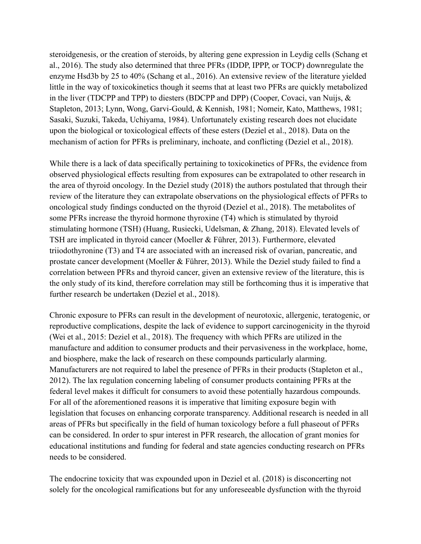steroidgenesis, or the creation of steroids, by altering gene expression in Leydig cells (Schang et al., 2016). The study also determined that three PFRs (IDDP, IPPP, or TOCP) downregulate the enzyme Hsd3b by 25 to 40% (Schang et al., 2016). An extensive review of the literature yielded little in the way of toxicokinetics though it seems that at least two PFRs are quickly metabolized in the liver (TDCPP and TPP) to diesters (BDCPP and DPP) (Cooper, Covaci, van Nuijs, & Stapleton, 2013; Lynn, Wong, Garvi-Gould, & Kennish, 1981; Nomeir, Kato, Matthews, 1981; Sasaki, Suzuki, Takeda, Uchiyama, 1984). Unfortunately existing research does not elucidate upon the biological or toxicological effects of these esters (Deziel et al., 2018). Data on the mechanism of action for PFRs is preliminary, inchoate, and conflicting (Deziel et al., 2018).

While there is a lack of data specifically pertaining to toxicokinetics of PFRs, the evidence from observed physiological effects resulting from exposures can be extrapolated to other research in the area of thyroid oncology. In the Deziel study (2018) the authors postulated that through their review of the literature they can extrapolate observations on the physiological effects of PFRs to oncological study findings conducted on the thyroid (Deziel et al., 2018). The metabolites of some PFRs increase the thyroid hormone thyroxine (T4) which is stimulated by thyroid stimulating hormone (TSH) (Huang, Rusiecki, Udelsman, & Zhang, 2018). Elevated levels of TSH are implicated in thyroid cancer (Moeller & Führer, 2013). Furthermore, elevated triiodothyronine (T3) and T4 are associated with an increased risk of ovarian, pancreatic, and prostate cancer development (Moeller & Führer, 2013). While the Deziel study failed to find a correlation between PFRs and thyroid cancer, given an extensive review of the literature, this is the only study of its kind, therefore correlation may still be forthcoming thus it is imperative that further research be undertaken (Deziel et al., 2018).

Chronic exposure to PFRs can result in the development of neurotoxic, allergenic, teratogenic, or reproductive complications, despite the lack of evidence to support carcinogenicity in the thyroid (Wei et al., 2015: Deziel et al., 2018). The frequency with which PFRs are utilized in the manufacture and addition to consumer products and their pervasiveness in the workplace, home, and biosphere, make the lack of research on these compounds particularly alarming. Manufacturers are not required to label the presence of PFRs in their products (Stapleton et al., 2012). The lax regulation concerning labeling of consumer products containing PFRs at the federal level makes it difficult for consumers to avoid these potentially hazardous compounds. For all of the aforementioned reasons it is imperative that limiting exposure begin with legislation that focuses on enhancing corporate transparency. Additional research is needed in all areas of PFRs but specifically in the field of human toxicology before a full phaseout of PFRs can be considered. In order to spur interest in PFR research, the allocation of grant monies for educational institutions and funding for federal and state agencies conducting research on PFRs needs to be considered.

The endocrine toxicity that was expounded upon in Deziel et al. (2018) is disconcerting not solely for the oncological ramifications but for any unforeseeable dysfunction with the thyroid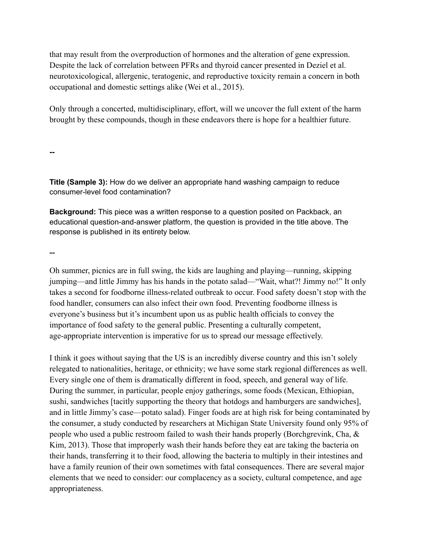that may result from the overproduction of hormones and the alteration of gene expression. Despite the lack of correlation between PFRs and thyroid cancer presented in Deziel et al. neurotoxicological, allergenic, teratogenic, and reproductive toxicity remain a concern in both occupational and domestic settings alike (Wei et al., 2015).

Only through a concerted, multidisciplinary, effort, will we uncover the full extent of the harm brought by these compounds, though in these endeavors there is hope for a healthier future.

**--**

**Title (Sample 3):** How do we deliver an appropriate hand washing campaign to reduce consumer-level food contamination?

**Background:** This piece was a written response to a question posited on Packback, an educational question-and-answer platform, the question is provided in the title above. The response is published in its entirety below.

**--**

Oh summer, picnics are in full swing, the kids are laughing and playing—running, skipping jumping—and little Jimmy has his hands in the potato salad—"Wait, what?! Jimmy no!" It only takes a second for foodborne illness-related outbreak to occur. Food safety doesn't stop with the food handler, consumers can also infect their own food. Preventing foodborne illness is everyone's business but it's incumbent upon us as public health officials to convey the importance of food safety to the general public. Presenting a culturally competent, age-appropriate intervention is imperative for us to spread our message effectively.

I think it goes without saying that the US is an incredibly diverse country and this isn't solely relegated to nationalities, heritage, or ethnicity; we have some stark regional differences as well. Every single one of them is dramatically different in food, speech, and general way of life. During the summer, in particular, people enjoy gatherings, some foods (Mexican, Ethiopian, sushi, sandwiches [tacitly supporting the theory that hotdogs and hamburgers are sandwiches], and in little Jimmy's case—potato salad). Finger foods are at high risk for being contaminated by the consumer, a study conducted by researchers at Michigan State University found only 95% of people who used a public restroom failed to wash their hands properly (Borchgrevink, Cha, & Kim, 2013). Those that improperly wash their hands before they eat are taking the bacteria on their hands, transferring it to their food, allowing the bacteria to multiply in their intestines and have a family reunion of their own sometimes with fatal consequences. There are several major elements that we need to consider: our complacency as a society, cultural competence, and age appropriateness.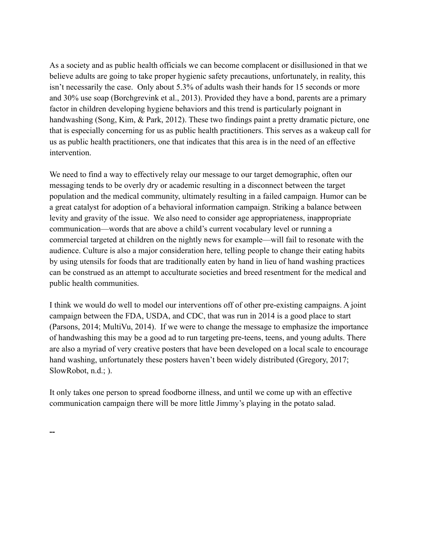As a society and as public health officials we can become complacent or disillusioned in that we believe adults are going to take proper hygienic safety precautions, unfortunately, in reality, this isn't necessarily the case. Only about 5.3% of adults wash their hands for 15 seconds or more and 30% use soap (Borchgrevink et al., 2013). Provided they have a bond, parents are a primary factor in children developing hygiene behaviors and this trend is particularly poignant in handwashing (Song, Kim, & Park, 2012). These two findings paint a pretty dramatic picture, one that is especially concerning for us as public health practitioners. This serves as a wakeup call for us as public health practitioners, one that indicates that this area is in the need of an effective intervention.

We need to find a way to effectively relay our message to our target demographic, often our messaging tends to be overly dry or academic resulting in a disconnect between the target population and the medical community, ultimately resulting in a failed campaign. Humor can be a great catalyst for adoption of a behavioral information campaign. Striking a balance between levity and gravity of the issue. We also need to consider age appropriateness, inappropriate communication—words that are above a child's current vocabulary level or running a commercial targeted at children on the nightly news for example—will fail to resonate with the audience. Culture is also a major consideration here, telling people to change their eating habits by using utensils for foods that are traditionally eaten by hand in lieu of hand washing practices can be construed as an attempt to acculturate societies and breed resentment for the medical and public health communities.

I think we would do well to model our interventions off of other pre-existing campaigns. A joint campaign between the FDA, USDA, and CDC, that was run in 2014 is a good place to start (Parsons, 2014; MultiVu, 2014). If we were to change the message to emphasize the importance of handwashing this may be a good ad to run targeting pre-teens, teens, and young adults. There are also a myriad of very creative posters that have been developed on a local scale to encourage hand washing, unfortunately these posters haven't been widely distributed (Gregory, 2017; SlowRobot, n.d.; ).

It only takes one person to spread foodborne illness, and until we come up with an effective communication campaign there will be more little Jimmy's playing in the potato salad.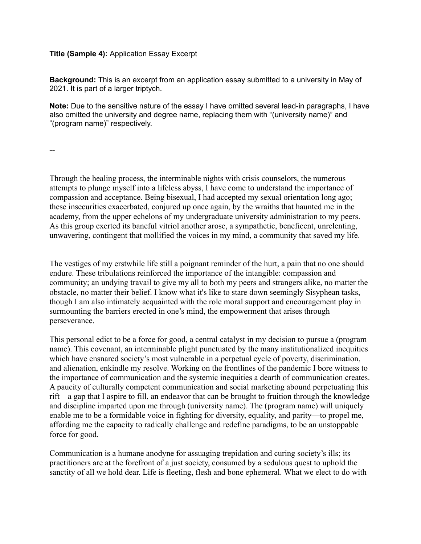## **Title (Sample 4):** Application Essay Excerpt

**Background:** This is an excerpt from an application essay submitted to a university in May of 2021. It is part of a larger triptych.

**Note:** Due to the sensitive nature of the essay I have omitted several lead-in paragraphs, I have also omitted the university and degree name, replacing them with "(university name)" and "(program name)" respectively.

**--**

Through the healing process, the interminable nights with crisis counselors, the numerous attempts to plunge myself into a lifeless abyss, I have come to understand the importance of compassion and acceptance. Being bisexual, I had accepted my sexual orientation long ago; these insecurities exacerbated, conjured up once again, by the wraiths that haunted me in the academy, from the upper echelons of my undergraduate university administration to my peers. As this group exerted its baneful vitriol another arose, a sympathetic, beneficent, unrelenting, unwavering, contingent that mollified the voices in my mind, a community that saved my life.

The vestiges of my erstwhile life still a poignant reminder of the hurt, a pain that no one should endure. These tribulations reinforced the importance of the intangible: compassion and community; an undying travail to give my all to both my peers and strangers alike, no matter the obstacle, no matter their belief. I know what it's like to stare down seemingly Sisyphean tasks, though I am also intimately acquainted with the role moral support and encouragement play in surmounting the barriers erected in one's mind, the empowerment that arises through perseverance.

This personal edict to be a force for good, a central catalyst in my decision to pursue a (program name). This covenant, an interminable plight punctuated by the many institutionalized inequities which have ensnared society's most vulnerable in a perpetual cycle of poverty, discrimination, and alienation, enkindle my resolve. Working on the frontlines of the pandemic I bore witness to the importance of communication and the systemic inequities a dearth of communication creates. A paucity of culturally competent communication and social marketing abound perpetuating this rift—a gap that I aspire to fill, an endeavor that can be brought to fruition through the knowledge and discipline imparted upon me through (university name). The (program name) will uniquely enable me to be a formidable voice in fighting for diversity, equality, and parity—to propel me, affording me the capacity to radically challenge and redefine paradigms, to be an unstoppable force for good.

Communication is a humane anodyne for assuaging trepidation and curing society's ills; its practitioners are at the forefront of a just society, consumed by a sedulous quest to uphold the sanctity of all we hold dear. Life is fleeting, flesh and bone ephemeral. What we elect to do with